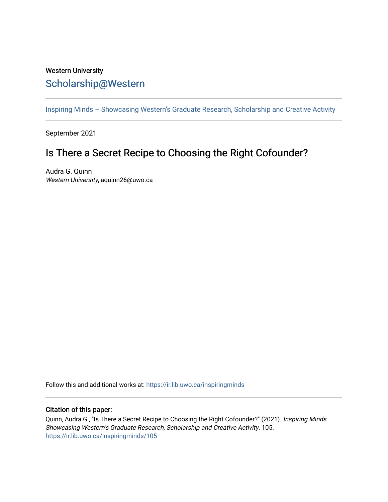## Western University [Scholarship@Western](https://ir.lib.uwo.ca/)

[Inspiring Minds – Showcasing Western's Graduate Research, Scholarship and Creative Activity](https://ir.lib.uwo.ca/inspiringminds) 

September 2021

## Is There a Secret Recipe to Choosing the Right Cofounder?

Audra G. Quinn Western University, aquinn26@uwo.ca

Follow this and additional works at: [https://ir.lib.uwo.ca/inspiringminds](https://ir.lib.uwo.ca/inspiringminds?utm_source=ir.lib.uwo.ca%2Finspiringminds%2F105&utm_medium=PDF&utm_campaign=PDFCoverPages) 

## Citation of this paper:

Quinn, Audra G., "Is There a Secret Recipe to Choosing the Right Cofounder?" (2021). Inspiring Minds -Showcasing Western's Graduate Research, Scholarship and Creative Activity. 105. [https://ir.lib.uwo.ca/inspiringminds/105](https://ir.lib.uwo.ca/inspiringminds/105?utm_source=ir.lib.uwo.ca%2Finspiringminds%2F105&utm_medium=PDF&utm_campaign=PDFCoverPages)